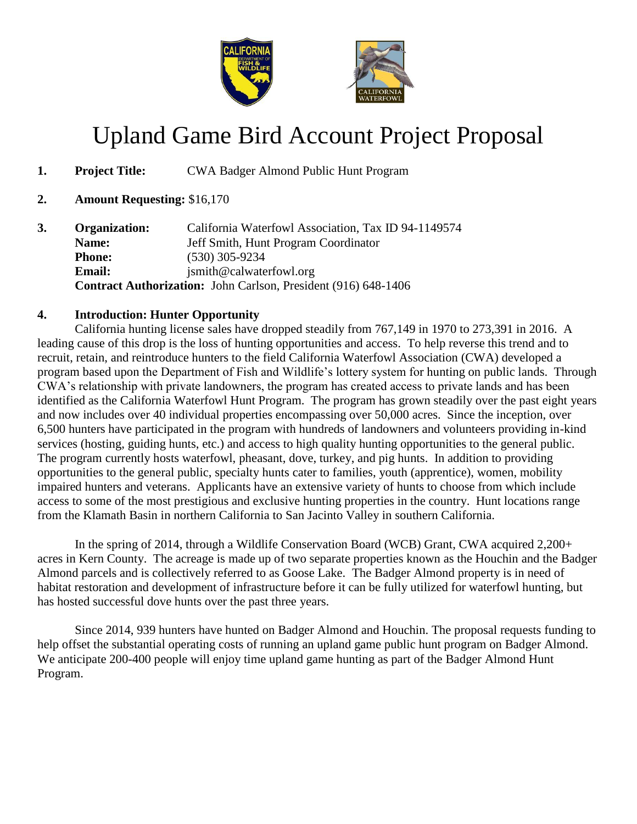

# Upland Game Bird Account Project Proposal

- **1. Project Title:** CWA Badger Almond Public Hunt Program
- **2. Amount Requesting:** \$16,170

| 3. | Organization:                                                  | California Waterfowl Association, Tax ID 94-1149574 |  |  |  |
|----|----------------------------------------------------------------|-----------------------------------------------------|--|--|--|
|    | Name:                                                          | Jeff Smith, Hunt Program Coordinator                |  |  |  |
|    | <b>Phone:</b>                                                  | $(530)$ 305-9234                                    |  |  |  |
|    | <b>Email:</b>                                                  | jsmith@calwaterfowl.org                             |  |  |  |
|    | Contract Authorization: John Carlson, President (916) 648-1406 |                                                     |  |  |  |

## **4. Introduction: Hunter Opportunity**

California hunting license sales have dropped steadily from 767,149 in 1970 to 273,391 in 2016. A leading cause of this drop is the loss of hunting opportunities and access. To help reverse this trend and to recruit, retain, and reintroduce hunters to the field California Waterfowl Association (CWA) developed a program based upon the Department of Fish and Wildlife's lottery system for hunting on public lands. Through CWA's relationship with private landowners, the program has created access to private lands and has been identified as the California Waterfowl Hunt Program. The program has grown steadily over the past eight years and now includes over 40 individual properties encompassing over 50,000 acres. Since the inception, over 6,500 hunters have participated in the program with hundreds of landowners and volunteers providing in-kind services (hosting, guiding hunts, etc.) and access to high quality hunting opportunities to the general public. The program currently hosts waterfowl, pheasant, dove, turkey, and pig hunts. In addition to providing opportunities to the general public, specialty hunts cater to families, youth (apprentice), women, mobility impaired hunters and veterans. Applicants have an extensive variety of hunts to choose from which include access to some of the most prestigious and exclusive hunting properties in the country. Hunt locations range from the Klamath Basin in northern California to San Jacinto Valley in southern California.

In the spring of 2014, through a Wildlife Conservation Board (WCB) Grant, CWA acquired 2,200+ acres in Kern County. The acreage is made up of two separate properties known as the Houchin and the Badger Almond parcels and is collectively referred to as Goose Lake. The Badger Almond property is in need of habitat restoration and development of infrastructure before it can be fully utilized for waterfowl hunting, but has hosted successful dove hunts over the past three years.

Since 2014, 939 hunters have hunted on Badger Almond and Houchin. The proposal requests funding to help offset the substantial operating costs of running an upland game public hunt program on Badger Almond. We anticipate 200-400 people will enjoy time upland game hunting as part of the Badger Almond Hunt Program.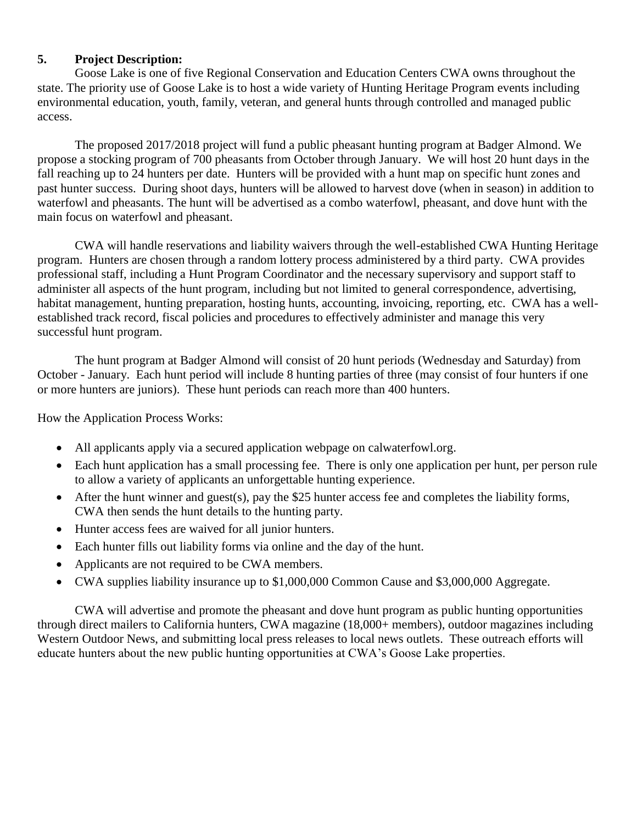#### **5. Project Description:**

Goose Lake is one of five Regional Conservation and Education Centers CWA owns throughout the state. The priority use of Goose Lake is to host a wide variety of Hunting Heritage Program events including environmental education, youth, family, veteran, and general hunts through controlled and managed public access.

The proposed 2017/2018 project will fund a public pheasant hunting program at Badger Almond. We propose a stocking program of 700 pheasants from October through January. We will host 20 hunt days in the fall reaching up to 24 hunters per date. Hunters will be provided with a hunt map on specific hunt zones and past hunter success. During shoot days, hunters will be allowed to harvest dove (when in season) in addition to waterfowl and pheasants. The hunt will be advertised as a combo waterfowl, pheasant, and dove hunt with the main focus on waterfowl and pheasant.

CWA will handle reservations and liability waivers through the well-established CWA Hunting Heritage program. Hunters are chosen through a random lottery process administered by a third party. CWA provides professional staff, including a Hunt Program Coordinator and the necessary supervisory and support staff to administer all aspects of the hunt program, including but not limited to general correspondence, advertising, habitat management, hunting preparation, hosting hunts, accounting, invoicing, reporting, etc. CWA has a wellestablished track record, fiscal policies and procedures to effectively administer and manage this very successful hunt program.

The hunt program at Badger Almond will consist of 20 hunt periods (Wednesday and Saturday) from October - January. Each hunt period will include 8 hunting parties of three (may consist of four hunters if one or more hunters are juniors). These hunt periods can reach more than 400 hunters.

How the Application Process Works:

- All applicants apply via a secured application webpage on calwaterfowl.org.
- Each hunt application has a small processing fee. There is only one application per hunt, per person rule to allow a variety of applicants an unforgettable hunting experience.
- After the hunt winner and guest(s), pay the \$25 hunter access fee and completes the liability forms, CWA then sends the hunt details to the hunting party.
- Hunter access fees are waived for all junior hunters.
- Each hunter fills out liability forms via online and the day of the hunt.
- Applicants are not required to be CWA members.
- CWA supplies liability insurance up to \$1,000,000 Common Cause and \$3,000,000 Aggregate.

CWA will advertise and promote the pheasant and dove hunt program as public hunting opportunities through direct mailers to California hunters, CWA magazine (18,000+ members), outdoor magazines including Western Outdoor News, and submitting local press releases to local news outlets. These outreach efforts will educate hunters about the new public hunting opportunities at CWA's Goose Lake properties.